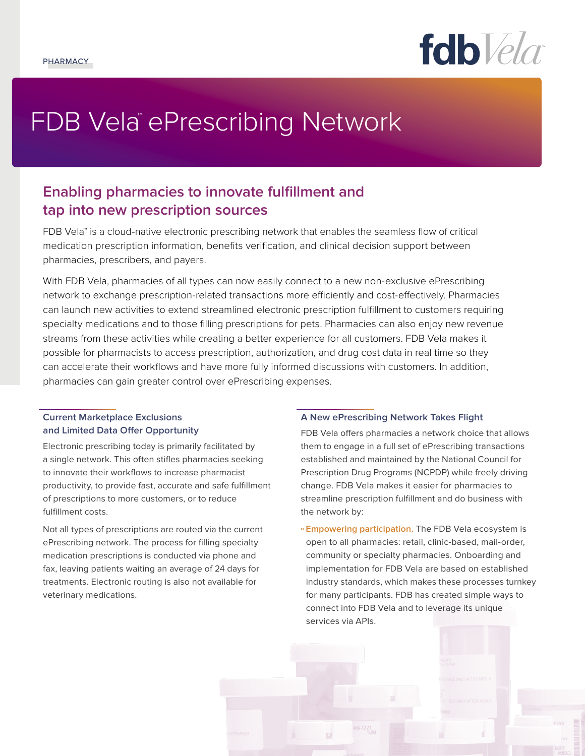

# FDB Vela™ePrescribing Network

# **Enabling pharmacies to innovate fulfillment and tap into new prescription sources**

FDB Vela™ is a cloud-native electronic prescribing network that enables the seamless flow of critical medication prescription information, benefits verification, and clinical decision support between pharmacies, prescribers, and payers.

With FDB Vela, pharmacies of all types can now easily connect to a new non-exclusive ePrescribing network to exchange prescription-related transactions more efficiently and cost-effectively. Pharmacies can launch new activities to extend streamlined electronic prescription fulfillment to customers requiring specialty medications and to those filling prescriptions for pets. Pharmacies can also enjoy new revenue streams from these activities while creating a better experience for all customers. FDB Vela makes it possible for pharmacists to access prescription, authorization, and drug cost data in real time so they can accelerate their workflows and have more fully informed discussions with customers. In addition, pharmacies can gain greater control over ePrescribing expenses.

### **Current Marketplace Exclusions and Limited Data Offer Opportunity**

Electronic prescribing today is primarily facilitated by a single network. This often stifles pharmacies seeking to innovate their workflows to increase pharmacist productivity, to provide fast, accurate and safe fulfillment of prescriptions to more customers, or to reduce fulfillment costs.

Not all types of prescriptions are routed via the current ePrescribing network. The process for filling specialty medication prescriptions is conducted via phone and fax, leaving patients waiting an average of 24 days for treatments. Electronic routing is also not available for veterinary medications.

#### **A New ePrescribing Network Takes Flight**

FDB Vela offers pharmacies a network choice that allows them to engage in a full set of ePrescribing transactions established and maintained by the National Council for Prescription Drug Programs (NCPDP) while freely driving change. FDB Vela makes it easier for pharmacies to streamline prescription fulfillment and do business with the network by:

**º Empowering participation.** The FDB Vela ecosystem is open to all pharmacies: retail, clinic-based, mail-order, community or specialty pharmacies. Onboarding and implementation for FDB Vela are based on established industry standards, which makes these processes turnkey for many participants. FDB has created simple ways to connect into FDB Vela and to leverage its unique services via APIs.

 $166 - 1221$